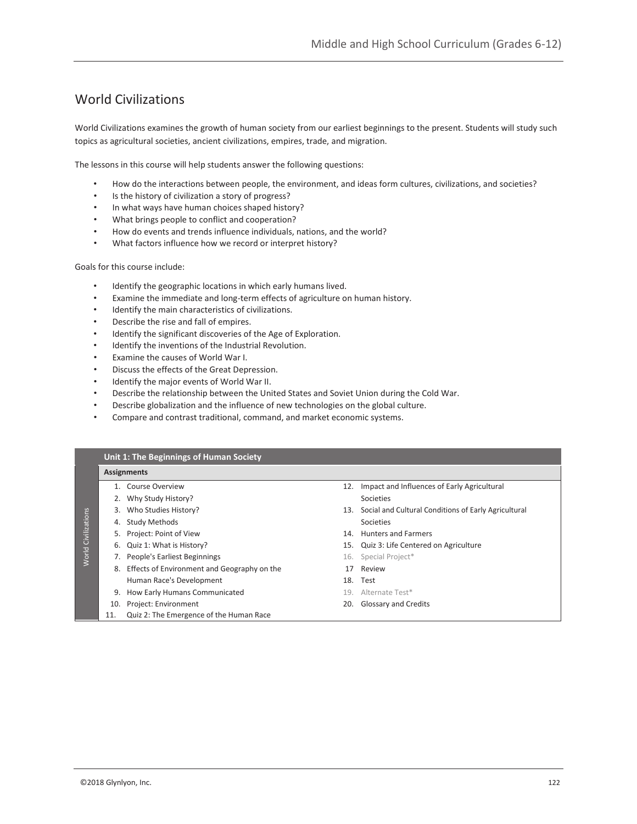# World Civilizations

World Civilizations examines the growth of human society from our earliest beginnings to the present. Students will study such topics as agricultural societies, ancient civilizations, empires, trade, and migration.

The lessons in this course will help students answer the following questions:

- How do the interactions between people, the environment, and ideas form cultures, civilizations, and societies?
- Is the history of civilization a story of progress?
- In what ways have human choices shaped history?
- What brings people to conflict and cooperation?
- How do events and trends influence individuals, nations, and the world?
- What factors influence how we record or interpret history?

Goals for this course include:

- Identify the geographic locations in which early humans lived.
- Examine the immediate and long-term effects of agriculture on human history.
- Identify the main characteristics of civilizations.
- Describe the rise and fall of empires.
- Identify the significant discoveries of the Age of Exploration.
- Identify the inventions of the Industrial Revolution.
- Examine the causes of World War I.
- Discuss the effects of the Great Depression.
- Identify the major events of World War II.
- Describe the relationship between the United States and Soviet Union during the Cold War.
- Describe globalization and the influence of new technologies on the global culture.
- Compare and contrast traditional, command, and market economic systems.

|                     |     | Unit 1: The Beginnings of Human Society     |     |                                                          |  |  |  |  |  |
|---------------------|-----|---------------------------------------------|-----|----------------------------------------------------------|--|--|--|--|--|
|                     |     | <b>Assignments</b>                          |     |                                                          |  |  |  |  |  |
|                     |     | Course Overview                             | 12. | Impact and Influences of Early Agricultural              |  |  |  |  |  |
|                     |     | Why Study History?                          |     | Societies                                                |  |  |  |  |  |
|                     |     | Who Studies History?                        |     | 13. Social and Cultural Conditions of Early Agricultural |  |  |  |  |  |
|                     | 4.  | <b>Study Methods</b>                        |     | Societies                                                |  |  |  |  |  |
| World Civilizations |     | 5. Project: Point of View                   |     | 14. Hunters and Farmers                                  |  |  |  |  |  |
|                     | 6.  | Quiz 1: What is History?                    |     | 15. Quiz 3: Life Centered on Agriculture                 |  |  |  |  |  |
|                     |     | People's Earliest Beginnings                |     | 16. Special Project*                                     |  |  |  |  |  |
|                     | 8.  | Effects of Environment and Geography on the | 17  | Review                                                   |  |  |  |  |  |
|                     |     | Human Race's Development                    | 18. | Test                                                     |  |  |  |  |  |
|                     | 9.  | How Early Humans Communicated               | 19. | Alternate Test*                                          |  |  |  |  |  |
|                     | 10. | Project: Environment                        |     | 20. Glossary and Credits                                 |  |  |  |  |  |
|                     | 11. | Quiz 2: The Emergence of the Human Race     |     |                                                          |  |  |  |  |  |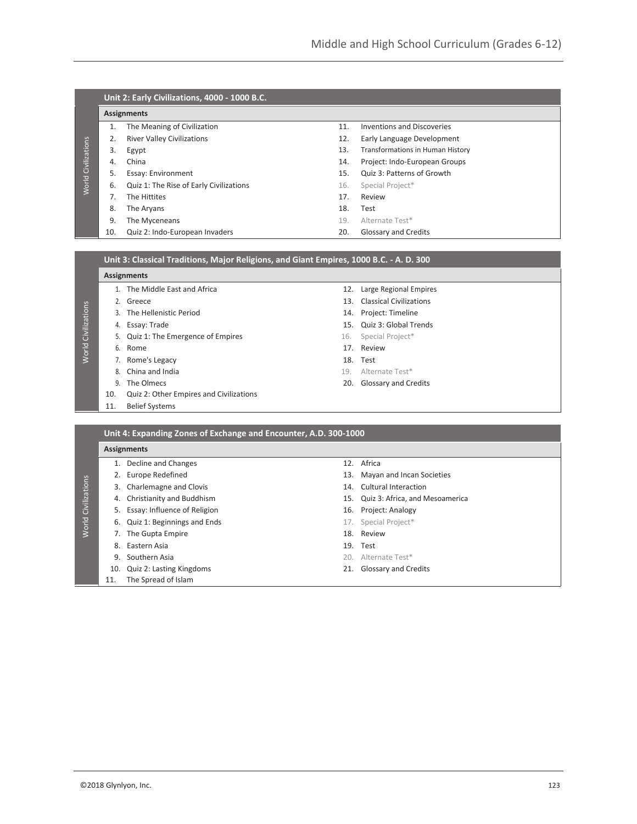|                     |     | Unit 2: Early Civilizations, 4000 - 1000 B.C. |     |                                         |  |  |  |  |  |
|---------------------|-----|-----------------------------------------------|-----|-----------------------------------------|--|--|--|--|--|
|                     |     | <b>Assignments</b>                            |     |                                         |  |  |  |  |  |
|                     | 1.  | The Meaning of Civilization                   | 11. | <b>Inventions and Discoveries</b>       |  |  |  |  |  |
|                     |     | <b>River Valley Civilizations</b>             | 12. | Early Language Development              |  |  |  |  |  |
|                     | 3.  | Egypt                                         | 13. | <b>Transformations in Human History</b> |  |  |  |  |  |
| World Civilizations | 4.  | China                                         | 14. | Project: Indo-European Groups           |  |  |  |  |  |
|                     | 5.  | Essay: Environment                            | 15. | Quiz 3: Patterns of Growth              |  |  |  |  |  |
|                     | 6.  | Quiz 1: The Rise of Early Civilizations       | 16. | Special Project*                        |  |  |  |  |  |
|                     |     | The Hittites                                  | 17. | Review                                  |  |  |  |  |  |
|                     | 8.  | The Aryans                                    | 18. | Test                                    |  |  |  |  |  |
|                     | 9.  | The Myceneans                                 | 19. | Alternate Test*                         |  |  |  |  |  |
|                     | 10. | Quiz 2: Indo-European Invaders                | 20. | <b>Glossary and Credits</b>             |  |  |  |  |  |

**Unit 3: Classical Traditions, Major Religions, and Giant Empires, 1000 B.C. - A. D. 300**

## **Assignments**

|  |                     | $1_{-}$       | The Middle East and Africa                                       | 12. | Large Regional Empires         |
|--|---------------------|---------------|------------------------------------------------------------------|-----|--------------------------------|
|  |                     |               | 2. Greece                                                        | 13. | <b>Classical Civilizations</b> |
|  | World Civilizations | $\mathcal{R}$ | The Hellenistic Period                                           | 14. | Project: Timeline              |
|  |                     |               | 4. Essay: Trade                                                  | 15. | Ouiz 3: Global Trends          |
|  |                     | 5.            | Quiz 1: The Emergence of Empires                                 | 16. | Special Project*               |
|  |                     | 6.            | Rome                                                             | 17. | Review                         |
|  |                     |               | 7. Rome's Legacy                                                 |     | 18. Test                       |
|  |                     | 8.            | China and India                                                  | 19. | Alternate Test*                |
|  |                     | q             | The Olmecs                                                       | 20. | <b>Glossary and Credits</b>    |
|  |                     | 10.           | Quiz 2: Other Empires and Civilizations                          |     |                                |
|  |                     | 11.           | <b>Belief Systems</b>                                            |     |                                |
|  |                     |               |                                                                  |     |                                |
|  |                     |               | Unit 4: Expanding Zones of Exchange and Encounter, A.D. 300-1000 |     |                                |
|  |                     |               | Assignments                                                      |     |                                |

|               |     | <b>Assignments</b>             |  |                                     |  |  |  |  |  |  |
|---------------|-----|--------------------------------|--|-------------------------------------|--|--|--|--|--|--|
|               |     | Decline and Changes            |  | 12. Africa                          |  |  |  |  |  |  |
|               |     | 2. Europe Redefined            |  | 13. Mayan and Incan Societies       |  |  |  |  |  |  |
| Civilizations |     | 3. Charlemagne and Clovis      |  | 14. Cultural Interaction            |  |  |  |  |  |  |
|               |     | 4. Christianity and Buddhism   |  | 15. Quiz 3: Africa, and Mesoamerica |  |  |  |  |  |  |
|               | 5.  | Essay: Influence of Religion   |  | 16. Project: Analogy                |  |  |  |  |  |  |
| World         |     | 6. Quiz 1: Beginnings and Ends |  | 17. Special Project*                |  |  |  |  |  |  |
|               |     | The Gupta Empire               |  | 18. Review                          |  |  |  |  |  |  |
|               | 8.  | Eastern Asia                   |  | 19. Test                            |  |  |  |  |  |  |
|               | 9.  | Southern Asia                  |  | 20. Alternate Test*                 |  |  |  |  |  |  |
|               | 10. | Quiz 2: Lasting Kingdoms       |  | 21. Glossary and Credits            |  |  |  |  |  |  |
|               | 11. | The Spread of Islam            |  |                                     |  |  |  |  |  |  |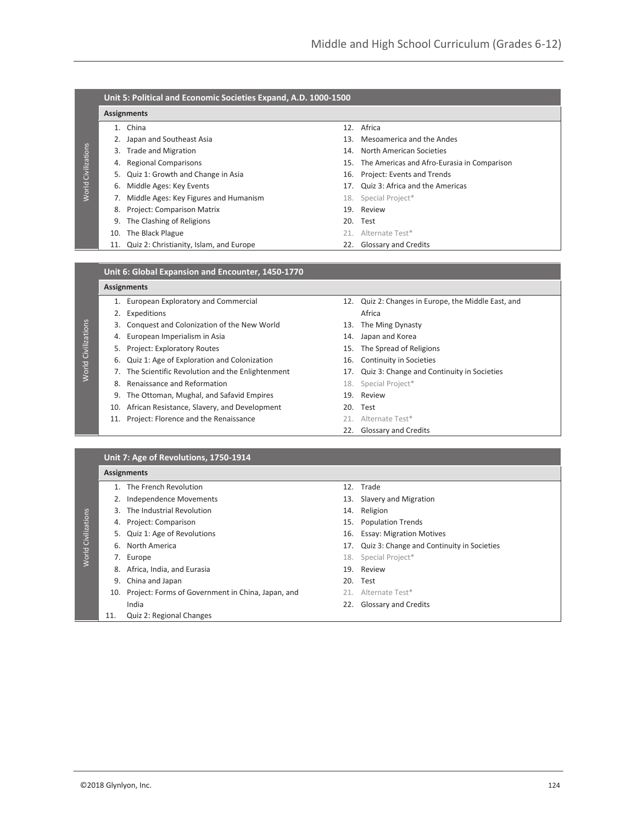|     | <b>Assignments</b>                      |     |                                                 |  |  |  |  |  |
|-----|-----------------------------------------|-----|-------------------------------------------------|--|--|--|--|--|
|     | 1. China                                |     | 12. Africa                                      |  |  |  |  |  |
|     | 2. Japan and Southeast Asia             |     | 13. Mesoamerica and the Andes                   |  |  |  |  |  |
|     | 3. Trade and Migration                  |     | 14. North American Societies                    |  |  |  |  |  |
|     | 4. Regional Comparisons                 |     | 15. The Americas and Afro-Eurasia in Comparison |  |  |  |  |  |
| 5.  | Quiz 1: Growth and Change in Asia       |     | 16. Project: Events and Trends                  |  |  |  |  |  |
| 6.  | Middle Ages: Key Events                 |     | 17. Quiz 3: Africa and the Americas             |  |  |  |  |  |
|     | Middle Ages: Key Figures and Humanism   |     | 18. Special Project*                            |  |  |  |  |  |
| 8.  | Project: Comparison Matrix              | 19. | Review                                          |  |  |  |  |  |
| 9.  | The Clashing of Religions               | 20. | Test                                            |  |  |  |  |  |
| 10. | The Black Plague                        | 21. | Alternate Test*                                 |  |  |  |  |  |
| 11. | Quiz 2: Christianity, Islam, and Europe |     | 22. Glossary and Credits                        |  |  |  |  |  |

## **Unit 6: Global Expansion and Encounter, 1450-1770**

#### **Assignments**

World Civilizations

World Civilizations

- 
- 2. Expeditions Africa
- 3. Conquest and Colonization of the New World 13. The Ming Dynasty
- 4. European Imperialism in Asia 14. Japan and Korea
- 5. Project: Exploratory Routes 15. The Spread of Religions
	- 6. Quiz 1: Age of Exploration and Colonization 16. Continuity in Societies
- 7. The Scientific Revolution and the Enlightenment 17. Quiz 3: Change and Continuity in Societies
	- 8. Renaissance and Reformation 18. Special Project\*
	- 9. The Ottoman, Mughal, and Safavid Empires 19. Review
	- 10. African Resistance, Slavery, and Development 20. Test
	- 11. Project: Florence and the Renaissance 21. Alternate Test\*
- 1. European Exploratory and Commercial 12. Quiz 2: Changes in Europe, the Middle East, and
	-
	-
	-
	-
	-
	-
	-
	-
	-
	- 22. Glossary and Credits

# **Unit 7: Age of Revolutions, 1750-1914**

#### **Assignments** 1. The French Revolution 12. Trade 2. Independence Movements 13. Slavery and Migration 3. The Industrial Revolution 14. Religion **World Civilizations** World Civilizations 4. Project: Comparison 15. Population Trends 5. Quiz 1: Age of Revolutions 16. Essay: Migration Motives 6. North America 17. Quiz 3: Change and Continuity in Societies 7. Europe 18. Special Project\* 8. Africa, India, and Eurasia 19. Review 9. China and Japan 20. Test 10. Project: Forms of Government in China, Japan, and 21. Alternate Test\* India 22. Glossary and Credits 11. Quiz 2: Regional Changes